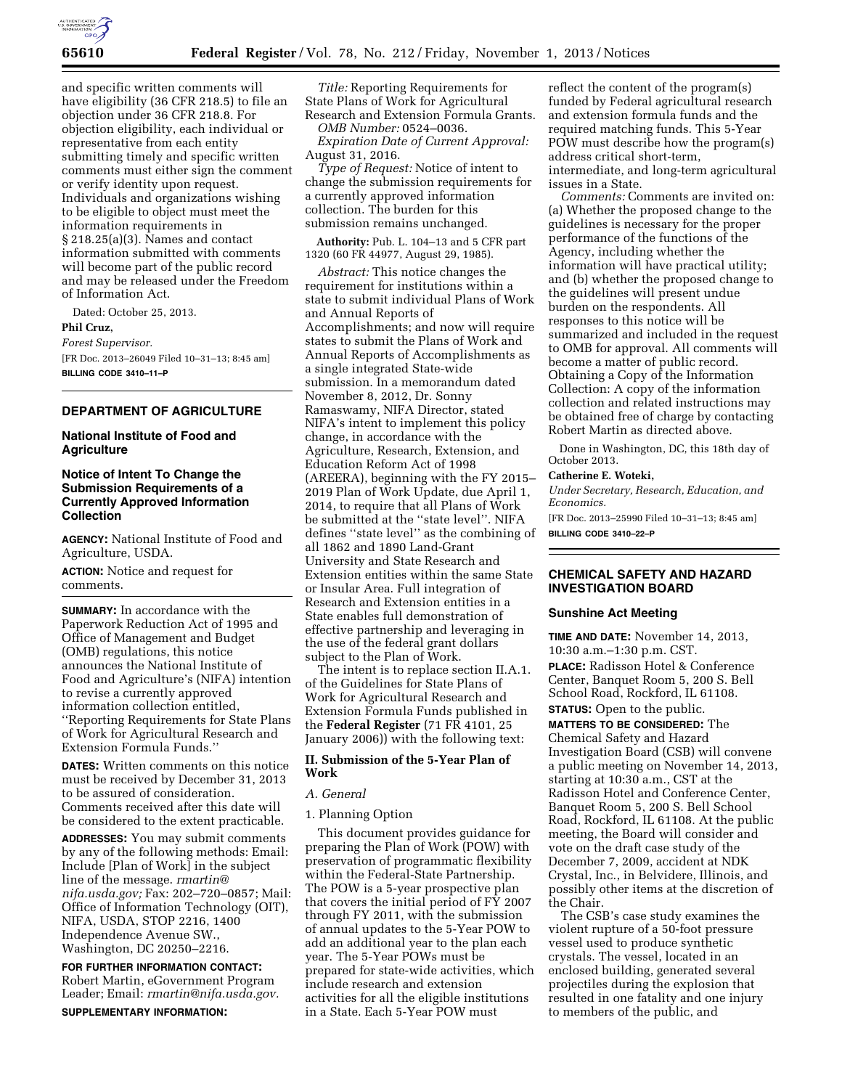

and specific written comments will have eligibility (36 CFR 218.5) to file an objection under 36 CFR 218.8. For objection eligibility, each individual or representative from each entity submitting timely and specific written comments must either sign the comment or verify identity upon request. Individuals and organizations wishing to be eligible to object must meet the information requirements in § 218.25(a)(3). Names and contact information submitted with comments will become part of the public record and may be released under the Freedom of Information Act.

Dated: October 25, 2013.

### **Phil Cruz,**

*Forest Supervisor.* 

[FR Doc. 2013–26049 Filed 10–31–13; 8:45 am] **BILLING CODE 3410–11–P** 

# **DEPARTMENT OF AGRICULTURE**

## **National Institute of Food and Agriculture**

# **Notice of Intent To Change the Submission Requirements of a Currently Approved Information Collection**

**AGENCY:** National Institute of Food and Agriculture, USDA.

**ACTION:** Notice and request for comments.

**SUMMARY:** In accordance with the Paperwork Reduction Act of 1995 and Office of Management and Budget (OMB) regulations, this notice announces the National Institute of Food and Agriculture's (NIFA) intention to revise a currently approved information collection entitled, ''Reporting Requirements for State Plans of Work for Agricultural Research and Extension Formula Funds.''

**DATES:** Written comments on this notice must be received by December 31, 2013 to be assured of consideration. Comments received after this date will be considered to the extent practicable.

**ADDRESSES:** You may submit comments by any of the following methods: Email: Include [Plan of Work] in the subject line of the message. *[rmartin@](mailto:rmartin@nifa.usda.gov) [nifa.usda.gov;](mailto:rmartin@nifa.usda.gov)* Fax: 202–720–0857; Mail: Office of Information Technology (OIT), NIFA, USDA, STOP 2216, 1400 Independence Avenue SW., Washington, DC 20250–2216.

**FOR FURTHER INFORMATION CONTACT:**  Robert Martin, eGovernment Program Leader; Email: *[rmartin@nifa.usda.gov.](mailto:rmartin@nifa.usda.gov)* 

**SUPPLEMENTARY INFORMATION:** 

*Title:* Reporting Requirements for State Plans of Work for Agricultural Research and Extension Formula Grants.

*OMB Number:* 0524–0036. *Expiration Date of Current Approval:*  August 31, 2016.

*Type of Request:* Notice of intent to change the submission requirements for a currently approved information collection. The burden for this submission remains unchanged.

**Authority:** Pub. L. 104–13 and 5 CFR part 1320 (60 FR 44977, August 29, 1985).

*Abstract:* This notice changes the requirement for institutions within a state to submit individual Plans of Work and Annual Reports of Accomplishments; and now will require states to submit the Plans of Work and Annual Reports of Accomplishments as a single integrated State-wide submission. In a memorandum dated November 8, 2012, Dr. Sonny Ramaswamy, NIFA Director, stated NIFA's intent to implement this policy change, in accordance with the Agriculture, Research, Extension, and Education Reform Act of 1998 (AREERA), beginning with the FY 2015– 2019 Plan of Work Update, due April 1, 2014, to require that all Plans of Work be submitted at the ''state level''. NIFA defines ''state level'' as the combining of all 1862 and 1890 Land-Grant University and State Research and Extension entities within the same State or Insular Area. Full integration of Research and Extension entities in a State enables full demonstration of effective partnership and leveraging in the use of the federal grant dollars subject to the Plan of Work.

The intent is to replace section II.A.1. of the Guidelines for State Plans of Work for Agricultural Research and Extension Formula Funds published in the **Federal Register** (71 FR 4101, 25 January 2006)) with the following text:

## **II. Submission of the 5-Year Plan of Work**

## *A. General*

1. Planning Option

This document provides guidance for preparing the Plan of Work (POW) with preservation of programmatic flexibility within the Federal-State Partnership. The POW is a 5-year prospective plan that covers the initial period of FY 2007 through FY 2011, with the submission of annual updates to the 5-Year POW to add an additional year to the plan each year. The 5-Year POWs must be prepared for state-wide activities, which include research and extension activities for all the eligible institutions in a State. Each 5-Year POW must

reflect the content of the program(s) funded by Federal agricultural research and extension formula funds and the required matching funds. This 5-Year POW must describe how the program(s) address critical short-term, intermediate, and long-term agricultural issues in a State.

*Comments:* Comments are invited on: (a) Whether the proposed change to the guidelines is necessary for the proper performance of the functions of the Agency, including whether the information will have practical utility; and (b) whether the proposed change to the guidelines will present undue burden on the respondents. All responses to this notice will be summarized and included in the request to OMB for approval. All comments will become a matter of public record. Obtaining a Copy of the Information Collection: A copy of the information collection and related instructions may be obtained free of charge by contacting Robert Martin as directed above.

Done in Washington, DC, this 18th day of October 2013.

### **Catherine E. Woteki,**

*Under Secretary, Research, Education, and Economics.* 

[FR Doc. 2013–25990 Filed 10–31–13; 8:45 am] **BILLING CODE 3410–22–P** 

# **CHEMICAL SAFETY AND HAZARD INVESTIGATION BOARD**

### **Sunshine Act Meeting**

**TIME AND DATE:** November 14, 2013, 10:30 a.m.–1:30 p.m. CST.

**PLACE:** Radisson Hotel & Conference Center, Banquet Room 5, 200 S. Bell School Road, Rockford, IL 61108. **STATUS:** Open to the public.

**MATTERS TO BE CONSIDERED:** The Chemical Safety and Hazard Investigation Board (CSB) will convene a public meeting on November 14, 2013, starting at 10:30 a.m., CST at the Radisson Hotel and Conference Center, Banquet Room 5, 200 S. Bell School Road, Rockford, IL 61108. At the public meeting, the Board will consider and vote on the draft case study of the December 7, 2009, accident at NDK Crystal, Inc., in Belvidere, Illinois, and possibly other items at the discretion of the Chair.

The CSB's case study examines the violent rupture of a 50-foot pressure vessel used to produce synthetic crystals. The vessel, located in an enclosed building, generated several projectiles during the explosion that resulted in one fatality and one injury to members of the public, and